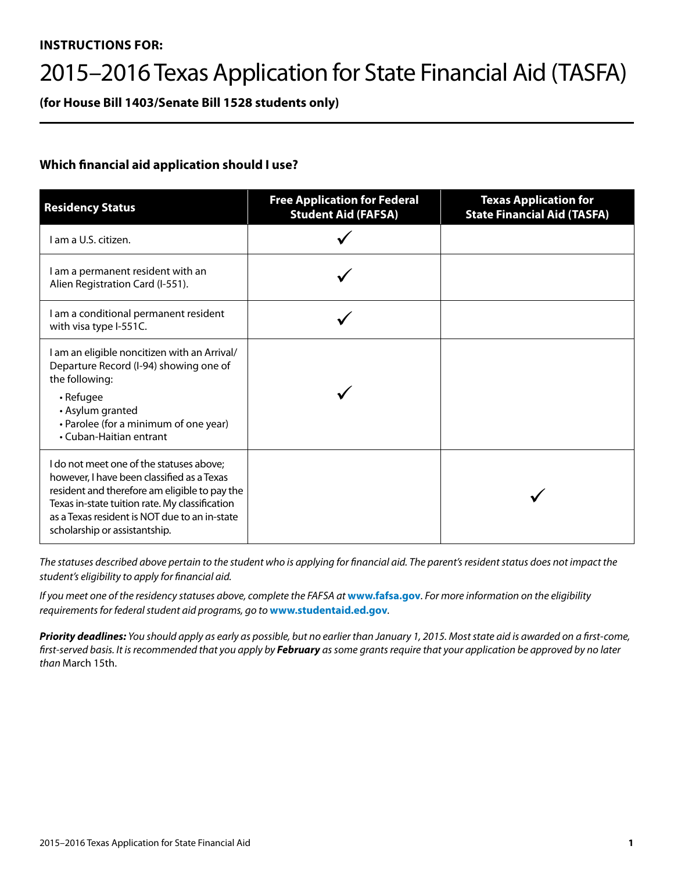#### **INSTRUCTIONS FOR:**

# 2015–2016 Texas Application for State Financial Aid (TASFA)

**(for House Bill 1403/Senate Bill 1528 students only)**

#### **Which financial aid application should I use?**

| <b>Residency Status</b>                                                                                                                                                                                                                                                     | <b>Free Application for Federal</b><br><b>Student Aid (FAFSA)</b> | <b>Texas Application for</b><br><b>State Financial Aid (TASFA)</b> |
|-----------------------------------------------------------------------------------------------------------------------------------------------------------------------------------------------------------------------------------------------------------------------------|-------------------------------------------------------------------|--------------------------------------------------------------------|
| I am a U.S. citizen.                                                                                                                                                                                                                                                        |                                                                   |                                                                    |
| I am a permanent resident with an<br>Alien Registration Card (I-551).                                                                                                                                                                                                       |                                                                   |                                                                    |
| I am a conditional permanent resident<br>with visa type I-551C.                                                                                                                                                                                                             |                                                                   |                                                                    |
| I am an eligible noncitizen with an Arrival/<br>Departure Record (I-94) showing one of<br>the following:<br>• Refugee<br>• Asylum granted<br>• Parolee (for a minimum of one year)<br>• Cuban-Haitian entrant                                                               |                                                                   |                                                                    |
| I do not meet one of the statuses above;<br>however, I have been classified as a Texas<br>resident and therefore am eligible to pay the<br>Texas in-state tuition rate. My classification<br>as a Texas resident is NOT due to an in-state<br>scholarship or assistantship. |                                                                   |                                                                    |

*The statuses described above pertain to the student who is applying for financial aid. The parent's resident status does not impact the student's eligibility to apply for financial aid.* 

*If you meet one of the residency statuses above, complete the FAFSA at* **www.fafsa.gov***. For more information on the eligibility requirements for federal student aid programs, go to* **www.studentaid.ed.gov***.* 

*Priority deadlines: You should apply as early as possible, but no earlier than January 1, 2015. Most state aid is awarded on a first-come, first-served basis. It is recommended that you apply by February as some grants require that your application be approved by no later than* March 15th.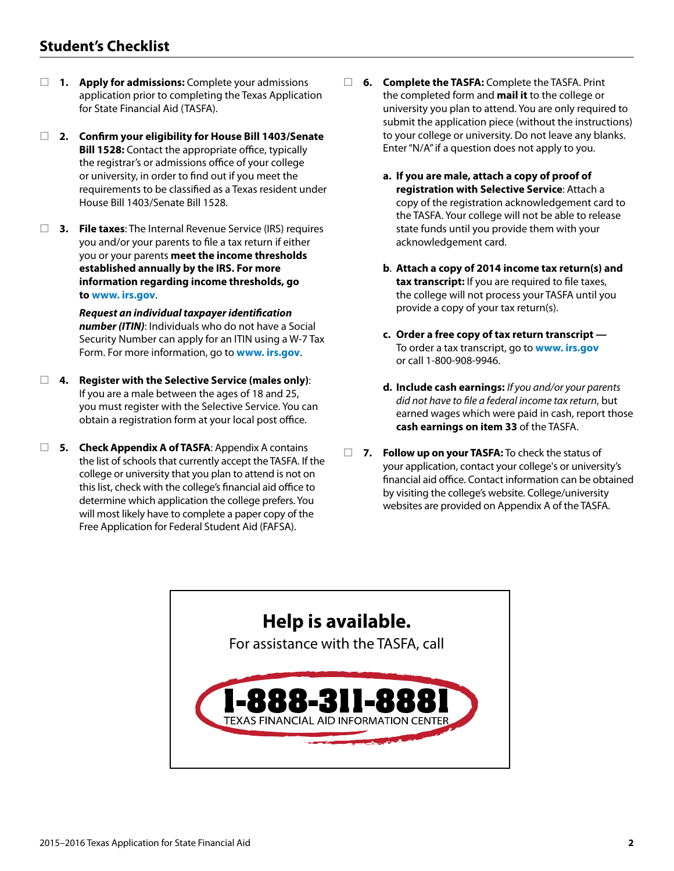### **Student's Checklist**

- **1. Apply for admissions:** Complete your admissions application prior to completing the Texas Application for State Financial Aid (TASFA).
- **2. Confirm your eligibility for House Bill 1403/Senate Bill 1528:** Contact the appropriate office, typically the registrar's or admissions office of your college or university, in order to find out if you meet the requirements to be classified as a Texas resident under House Bill 1403/Senate Bill 1528.
- **3. File taxes**: The Internal Revenue Service (IRS) requires you and/or your parents to file a tax return if either you or your parents **meet the income thresholds established annually by the IRS. For more information regarding income thresholds, go to www. irs.gov**.

 *Request an individual taxpayer identification number (ITIN)*: Individuals who do not have a Social Security Number can apply for an ITIN using a W-7 Tax Form. For more information, go to **www. irs.gov**.

- **4. Register with the Selective Service (males only)**: If you are a male between the ages of 18 and 25, you must register with the Selective Service. You can obtain a registration form at your local post office.
- **5. Check Appendix A of TASFA**: Appendix A contains the list of schools that currently accept the TASFA. If the college or university that you plan to attend is not on this list, check with the college's financial aid office to determine which application the college prefers. You will most likely have to complete a paper copy of the Free Application for Federal Student Aid (FAFSA).
- **6. Complete the TASFA:** Complete the TASFA. Print the completed form and **mail it** to the college or university you plan to attend. You are only required to submit the application piece (without the instructions) to your college or university. Do not leave any blanks. Enter "N/A" if a question does not apply to you.
	- **a. If you are male, attach a copy of proof of registration with Selective Service**: Attach a copy of the registration acknowledgement card to the TASFA. Your college will not be able to release state funds until you provide them with your acknowledgement card.
	- **b**. **Attach a copy of 2014 income tax return(s) and tax transcript:** If you are required to file taxes, the college will not process your TASFA until you provide a copy of your tax return(s).
	- **c. Order a free copy of tax return transcript**  To order a tax transcript, go to **www. irs.gov** or call 1-800-908-9946.
	- **d. Include cash earnings:** *If you and/or your parents did not have to file a federal income tax return*, but earned wages which were paid in cash, report those **cash earnings on item 33** of the TASFA.
- **7. Follow up on your TASFA:** To check the status of your application, contact your college's or university's financial aid office. Contact information can be obtained by visiting the college's website. College/university websites are provided on Appendix A of the TASFA.

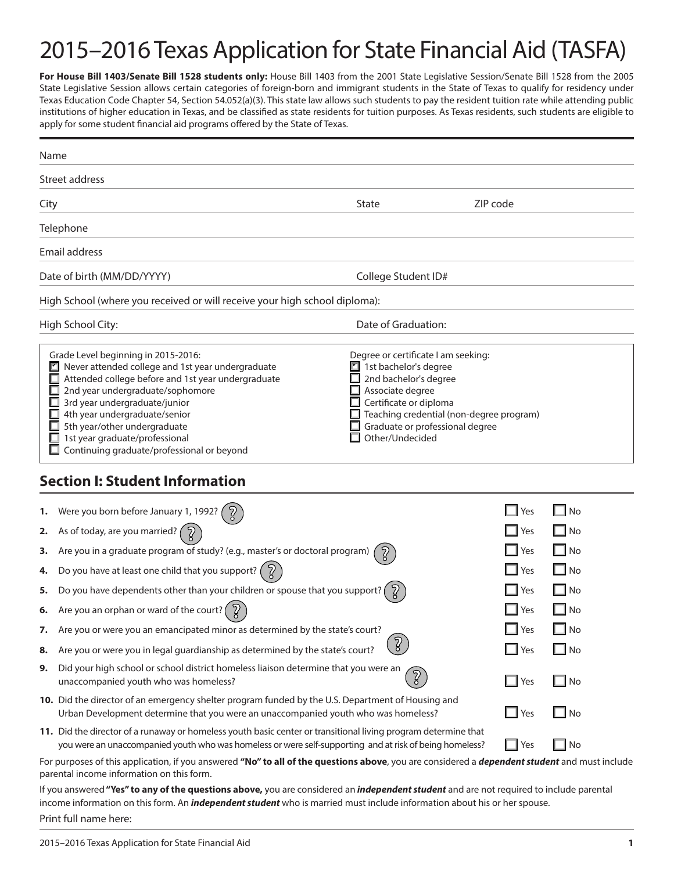# 2015–2016 Texas Application for State Financial Aid (TASFA)

For House Bill 1403/Senate Bill 1528 students only: House Bill 1403 from the 2001 State Legislative Session/Senate Bill 1528 from the 2005 State Legislative Session allows certain categories of foreign-born and immigrant students in the State of Texas to qualify for residency under Texas Education Code Chapter 54, Section 54.052(a)(3). This state law allows such students to pay the resident tuition rate while attending public institutions of higher education in Texas, and be classified as state residents for tuition purposes. As Texas residents, such students are eligible to apply for some student financial aid programs offered by the State of Texas.

| Name |                                                                                                                                                                                                                                                                                                                                                                           |                                                                                                                                                                                           |                                          |              |
|------|---------------------------------------------------------------------------------------------------------------------------------------------------------------------------------------------------------------------------------------------------------------------------------------------------------------------------------------------------------------------------|-------------------------------------------------------------------------------------------------------------------------------------------------------------------------------------------|------------------------------------------|--------------|
|      | Street address                                                                                                                                                                                                                                                                                                                                                            |                                                                                                                                                                                           |                                          |              |
| City |                                                                                                                                                                                                                                                                                                                                                                           | State                                                                                                                                                                                     | ZIP code                                 |              |
|      | Telephone                                                                                                                                                                                                                                                                                                                                                                 |                                                                                                                                                                                           |                                          |              |
|      | Email address                                                                                                                                                                                                                                                                                                                                                             |                                                                                                                                                                                           |                                          |              |
|      | Date of birth (MM/DD/YYYY)                                                                                                                                                                                                                                                                                                                                                | College Student ID#                                                                                                                                                                       |                                          |              |
|      | High School (where you received or will receive your high school diploma):                                                                                                                                                                                                                                                                                                |                                                                                                                                                                                           |                                          |              |
|      | High School City:                                                                                                                                                                                                                                                                                                                                                         | Date of Graduation:                                                                                                                                                                       |                                          |              |
|      | Grade Level beginning in 2015-2016:<br>Never attended college and 1st year undergraduate<br>Ľ<br>Attended college before and 1st year undergraduate<br>2nd year undergraduate/sophomore<br>3rd year undergraduate/junior<br>4th year undergraduate/senior<br>5th year/other undergraduate<br>1st year graduate/professional<br>Continuing graduate/professional or beyond | Degree or certificate I am seeking:<br>1st bachelor's degree<br>2nd bachelor's degree<br>Associate degree<br>Certificate or diploma<br>Graduate or professional degree<br>Other/Undecided | Teaching credential (non-degree program) |              |
|      | <b>Section I: Student Information</b>                                                                                                                                                                                                                                                                                                                                     |                                                                                                                                                                                           |                                          |              |
| 1.   | Were you born before January 1, 1992?                                                                                                                                                                                                                                                                                                                                     |                                                                                                                                                                                           | Yes                                      | No<br>- 1    |
| 2.   | As of today, are you married? (                                                                                                                                                                                                                                                                                                                                           |                                                                                                                                                                                           | Yes                                      | No<br>- 1    |
| з.   | Are you in a graduate program of study? (e.g., master's or doctoral program)                                                                                                                                                                                                                                                                                              |                                                                                                                                                                                           | Yes                                      | $\Box$ No    |
| 4.   | Do you have at least one child that you support? $\left( \n\hat{Z} \right)$                                                                                                                                                                                                                                                                                               |                                                                                                                                                                                           | Yes                                      | $\Box$ No    |
| 5.   | Do you have dependents other than your children or spouse that you support?                                                                                                                                                                                                                                                                                               |                                                                                                                                                                                           | Yes                                      | ப<br>No      |
| 6.   | Are you an orphan or ward of the court? (                                                                                                                                                                                                                                                                                                                                 |                                                                                                                                                                                           | Yes                                      | $\Box$ No    |
| 7.   | Are you or were you an emancipated minor as determined by the state's court?                                                                                                                                                                                                                                                                                              |                                                                                                                                                                                           | $\Box$ Yes                               | $\square$ No |
| 8.   | Are you or were you in legal guardianship as determined by the state's court?                                                                                                                                                                                                                                                                                             | $\sqrt{2}$                                                                                                                                                                                | . I<br>Yes                               | No           |
| 9.   | Did your high school or school district homeless liaison determine that you were an<br>unaccompanied youth who was homeless?                                                                                                                                                                                                                                              | $\sqrt{2}$                                                                                                                                                                                | $\Box$ Yes                               | $\Box$ No    |
|      | 10. Did the director of an emergency shelter program funded by the U.S. Department of Housing and<br>Urban Development determine that you were an unaccompanied youth who was homeless?                                                                                                                                                                                   |                                                                                                                                                                                           | Yes<br>$\overline{\phantom{a}}$          | $\Box$ No    |
|      | 11. Did the director of a runaway or homeless youth basic center or transitional living program determine that<br>you were an unaccompanied youth who was homeless or were self-supporting and at risk of being homeless?                                                                                                                                                 |                                                                                                                                                                                           | $\mathbf{I}$<br>Yes                      | No<br>- 1    |
|      | For purposes of this application, if you answered "No" to all of the questions above, you are considered a <i>dependent student</i> and must include<br>parental income information on this form.                                                                                                                                                                         |                                                                                                                                                                                           |                                          |              |
|      | If you answered "Yes" to any of the questions above, you are considered an independent student and are not required to include parental                                                                                                                                                                                                                                   |                                                                                                                                                                                           |                                          |              |

If you answered **"Yes" to any of the questions above,** you are considered an *independent student* and are not required to include parental income information on this form. An *independent student* who is married must include information about his or her spouse. Print full name here: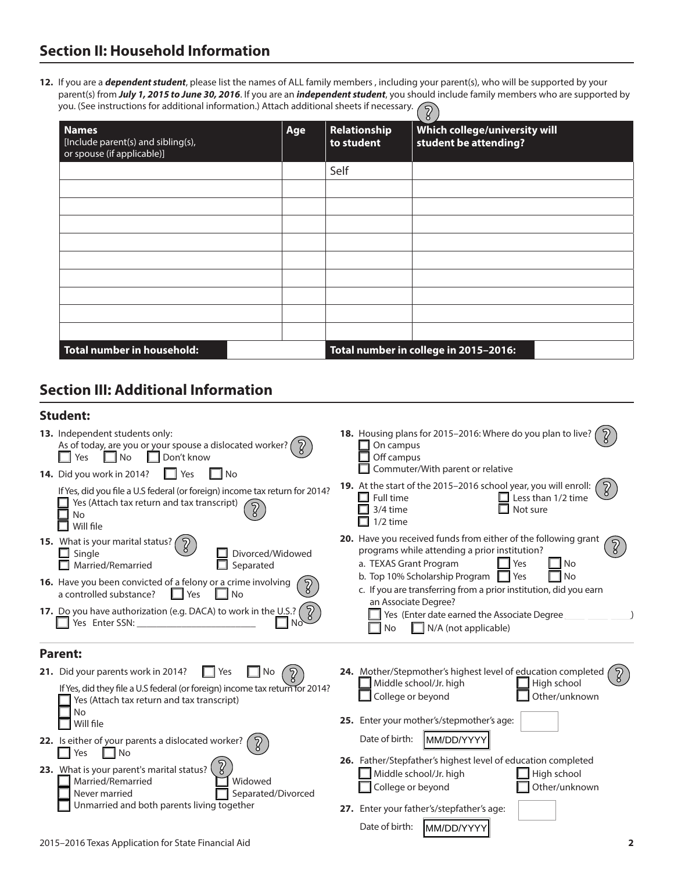**12.** If you are a *dependent student*, please list the names of ALL family members , including your parent(s), who will be supported by your parent(s) from *July 1, 2015 to June 30, 2016*. If you are an *independent student*, you should include family members who are supported by you. (See instructions for additional information.) Attach additional sheets if necessary.  $\binom{5}{2}$ 

|                                                                                  |     |                            | ŏ                                                      |
|----------------------------------------------------------------------------------|-----|----------------------------|--------------------------------------------------------|
| <b>Names</b><br>[Include parent(s) and sibling(s),<br>or spouse (if applicable)] | Age | Relationship<br>to student | Which college/university will<br>student be attending? |
|                                                                                  |     | Self                       |                                                        |
|                                                                                  |     |                            |                                                        |
|                                                                                  |     |                            |                                                        |
|                                                                                  |     |                            |                                                        |
|                                                                                  |     |                            |                                                        |
|                                                                                  |     |                            |                                                        |
|                                                                                  |     |                            |                                                        |
|                                                                                  |     |                            |                                                        |
|                                                                                  |     |                            |                                                        |
|                                                                                  |     |                            |                                                        |
| Total number in household:                                                       |     |                            | Total number in college in 2015-2016:                  |

## **Section III: Additional Information**

#### **Student:**

| 13. Independent students only:                                                                                                                                                                                                                                                                                                                                                                                                                                                     | 18. Housing plans for 2015-2016: Where do you plan to live?                                                                                                                                                                                                                                                                                                                                                                                         |
|------------------------------------------------------------------------------------------------------------------------------------------------------------------------------------------------------------------------------------------------------------------------------------------------------------------------------------------------------------------------------------------------------------------------------------------------------------------------------------|-----------------------------------------------------------------------------------------------------------------------------------------------------------------------------------------------------------------------------------------------------------------------------------------------------------------------------------------------------------------------------------------------------------------------------------------------------|
| As of today, are you or your spouse a dislocated worker? (                                                                                                                                                                                                                                                                                                                                                                                                                         | On campus                                                                                                                                                                                                                                                                                                                                                                                                                                           |
| Don't know                                                                                                                                                                                                                                                                                                                                                                                                                                                                         | Off campus                                                                                                                                                                                                                                                                                                                                                                                                                                          |
| ⊟ No                                                                                                                                                                                                                                                                                                                                                                                                                                                                               | Commuter/With parent or relative                                                                                                                                                                                                                                                                                                                                                                                                                    |
| Yes                                                                                                                                                                                                                                                                                                                                                                                                                                                                                | 19. At the start of the 2015-2016 school year, you will enroll:                                                                                                                                                                                                                                                                                                                                                                                     |
| 14. Did you work in 2014?                                                                                                                                                                                                                                                                                                                                                                                                                                                          | Full time                                                                                                                                                                                                                                                                                                                                                                                                                                           |
| Yes                                                                                                                                                                                                                                                                                                                                                                                                                                                                                | $\Box$ Less than 1/2 time                                                                                                                                                                                                                                                                                                                                                                                                                           |
| – I No                                                                                                                                                                                                                                                                                                                                                                                                                                                                             | ш                                                                                                                                                                                                                                                                                                                                                                                                                                                   |
| If Yes, did you file a U.S federal (or foreign) income tax return for 2014?                                                                                                                                                                                                                                                                                                                                                                                                        | 3/4 time                                                                                                                                                                                                                                                                                                                                                                                                                                            |
| Yes (Attach tax return and tax transcript)                                                                                                                                                                                                                                                                                                                                                                                                                                         | Not sure                                                                                                                                                                                                                                                                                                                                                                                                                                            |
| No                                                                                                                                                                                                                                                                                                                                                                                                                                                                                 | $1/2$ time                                                                                                                                                                                                                                                                                                                                                                                                                                          |
| Will file                                                                                                                                                                                                                                                                                                                                                                                                                                                                          | <b>20.</b> Have you received funds from either of the following grant                                                                                                                                                                                                                                                                                                                                                                               |
| 15. What is your marital status?                                                                                                                                                                                                                                                                                                                                                                                                                                                   | programs while attending a prior institution?                                                                                                                                                                                                                                                                                                                                                                                                       |
| $\Box$ Single                                                                                                                                                                                                                                                                                                                                                                                                                                                                      | a. TEXAS Grant Program                                                                                                                                                                                                                                                                                                                                                                                                                              |
| Divorced/Widowed                                                                                                                                                                                                                                                                                                                                                                                                                                                                   | Yes                                                                                                                                                                                                                                                                                                                                                                                                                                                 |
| Married/Remarried                                                                                                                                                                                                                                                                                                                                                                                                                                                                  | $\overline{\phantom{a}}$ No                                                                                                                                                                                                                                                                                                                                                                                                                         |
| Separated                                                                                                                                                                                                                                                                                                                                                                                                                                                                          | b. Top 10% Scholarship Program                                                                                                                                                                                                                                                                                                                                                                                                                      |
| П                                                                                                                                                                                                                                                                                                                                                                                                                                                                                  | Yes                                                                                                                                                                                                                                                                                                                                                                                                                                                 |
| <b>16.</b> Have you been convicted of a felony or a crime involving                                                                                                                                                                                                                                                                                                                                                                                                                | No                                                                                                                                                                                                                                                                                                                                                                                                                                                  |
| a controlled substance?                                                                                                                                                                                                                                                                                                                                                                                                                                                            | c. If you are transferring from a prior institution, did you earn                                                                                                                                                                                                                                                                                                                                                                                   |
| $\Box$ Yes                                                                                                                                                                                                                                                                                                                                                                                                                                                                         | an Associate Degree?                                                                                                                                                                                                                                                                                                                                                                                                                                |
| $\Box$ No                                                                                                                                                                                                                                                                                                                                                                                                                                                                          | Yes (Enter date earned the Associate Degree                                                                                                                                                                                                                                                                                                                                                                                                         |
| 17. Do you have authorization (e.g. DACA) to work in the U.S.?                                                                                                                                                                                                                                                                                                                                                                                                                     | $\Box$ N/A (not applicable)                                                                                                                                                                                                                                                                                                                                                                                                                         |
| Yes Enter SSN:                                                                                                                                                                                                                                                                                                                                                                                                                                                                     | <b>No</b>                                                                                                                                                                                                                                                                                                                                                                                                                                           |
| <b>Parent:</b><br>21. Did your parents work in 2014?<br>$\overline{2}$<br>l No<br>Yes<br>If Yes, did they file a U.S federal (or foreign) income tax return for 2014?<br>Yes (Attach tax return and tax transcript)<br><b>No</b><br>Will file<br>22. Is either of your parents a dislocated worker?<br>Yes<br>No<br>23. What is your parent's marital status?<br>Married/Remarried<br>Widowed<br>Never married<br>Separated/Divorced<br>Unmarried and both parents living together | 24. Mother/Stepmother's highest level of education completed<br>Middle school/Jr. high<br>High school<br>College or beyond<br>Other/unknown<br>25. Enter your mother's/stepmother's age:<br>Date of birth:<br>MM/DD/YYY<br>26. Father/Stepfather's highest level of education completed<br>Middle school/Jr. high<br>High school<br>College or beyond<br>Other/unknown<br>27. Enter your father's/stepfather's age:<br>Date of birth:<br>MM/DD/YYYY |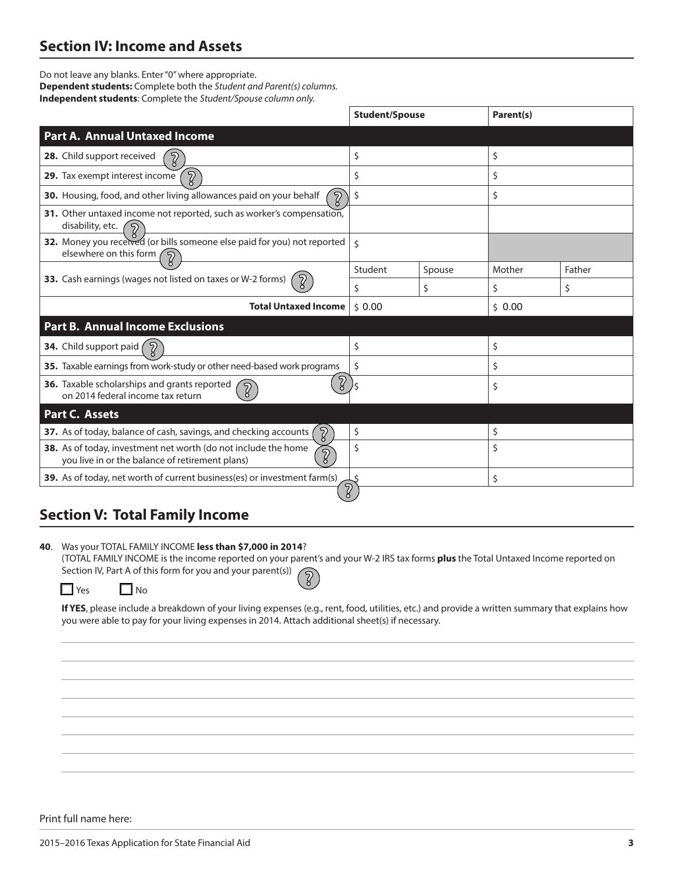## **Section IV: Income and Assets**

Do not leave any blanks. Enter "0" where appropriate. **Dependent students:** Complete both the *Student and Parent(s) columns.*  **Independent students**: Complete the *Student/Spouse column only.*

|                                                                                                                                     | <b>Student/Spouse</b> |        | Parent(s) |        |
|-------------------------------------------------------------------------------------------------------------------------------------|-----------------------|--------|-----------|--------|
| <b>Part A. Annual Untaxed Income</b>                                                                                                |                       |        |           |        |
| 28. Child support received                                                                                                          | \$                    |        | \$        |        |
| $\overline{2}$<br>29. Tax exempt interest income                                                                                    | \$                    |        | \$        |        |
| $\overline{2}$<br>30. Housing, food, and other living allowances paid on your behalf                                                | \$                    |        | \$        |        |
| 31. Other untaxed income not reported, such as worker's compensation,<br>disability, etc.<br>$\mathcal{D}$                          |                       |        |           |        |
| 32. Money you received (or bills someone else paid for you) not reported<br>elsewhere on this form<br>໌ຈີ                           | Ś.                    |        |           |        |
|                                                                                                                                     | Student               | Spouse | Mother    | Father |
| 33. Cash earnings (wages not listed on taxes or W-2 forms)<br>$\mathcal{D}$                                                         | \$                    | \$     | \$        | \$     |
| <b>Total Untaxed Income</b>                                                                                                         | 50.00                 |        | 50.00     |        |
| <b>Part B. Annual Income Exclusions</b>                                                                                             |                       |        |           |        |
| 34. Child support paid<br>$\mathcal{D}$                                                                                             | \$                    |        | \$        |        |
| 35. Taxable earnings from work-study or other need-based work programs                                                              | \$                    |        | \$        |        |
| ႒ွ<br>36. Taxable scholarships and grants reported<br>$\overline{2}$<br>on 2014 federal income tax return                           |                       |        | \$        |        |
| Part C. Assets                                                                                                                      |                       |        |           |        |
| $\mathcal{D}$<br>37. As of today, balance of cash, savings, and checking accounts                                                   | \$                    |        | \$        |        |
| 38. As of today, investment net worth (do not include the home<br>$\overline{2}$<br>you live in or the balance of retirement plans) | \$                    |        | \$        |        |
| 39. As of today, net worth of current business(es) or investment farm(s)                                                            |                       |        | \$        |        |
|                                                                                                                                     | Z                     |        |           |        |

## **Section V: Total Family Income**

**40**. Was your TOTAL FAMILY INCOME **less than \$7,000 in 2014**?

(TOTAL FAMILY INCOME is the income reported on your parent's and your W-2 IRS tax forms **plus** the Total Untaxed Income reported on Section IV, Part A of this form for you and your parent(s))  $\widehat{2}$ 

| $V \cap C$ | N٥ |
|------------|----|
|            |    |

**If YES**, please include a breakdown of your living expenses (e.g., rent, food, utilities, etc.) and provide a written summary that explains how you were able to pay for your living expenses in 2014. Attach additional sheet(s) if necessary.

Print full name here: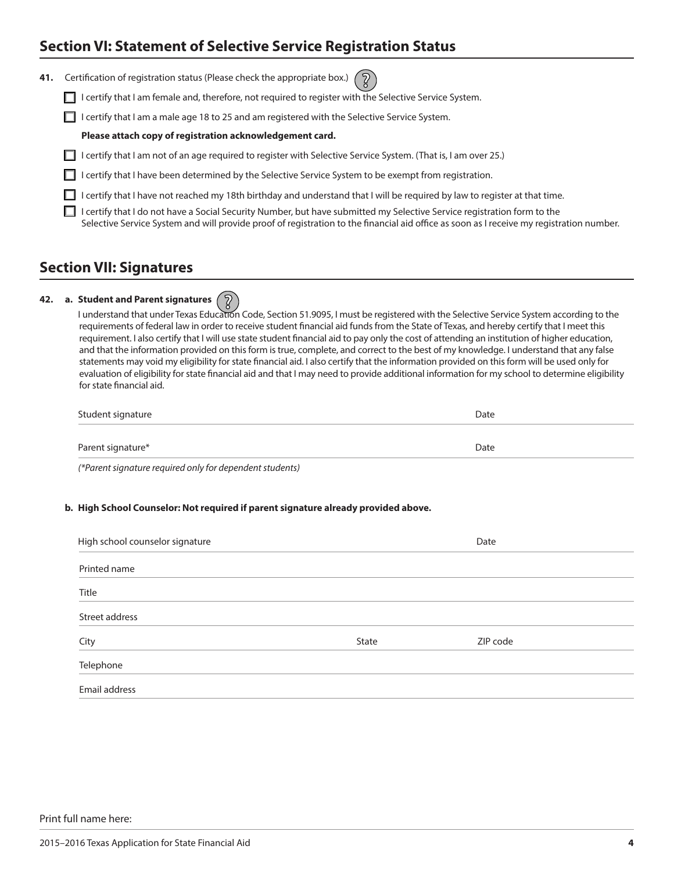### **Section VI: Statement of Selective Service Registration Status**

**41.** Certification of registration status (Please check the appropriate

| box.) |  |  |
|-------|--|--|
|       |  |  |

I certify that I am female and, therefore, not required to register with the Selective Service System.

 $\Box$  I certify that I am a male age 18 to 25 and am registered with the Selective Service System.

#### **Please attach copy of registration acknowledgement card.**

- I certify that I am not of an age required to register with Selective Service System. (That is, I am over 25.)
- I I certify that I have been determined by the Selective Service System to be exempt from registration.

I certify that I have not reached my 18th birthday and understand that I will be required by law to register at that time.

I certify that I do not have a Social Security Number, but have submitted my Selective Service registration form to the Selective Service System and will provide proof of registration to the financial aid office as soon as I receive my registration number.

### **Section VII: Signatures**

#### **42. a. Student and Parent signatures**

I understand that under Texas Education Code, Section 51.9095, I must be registered with the Selective Service System according to the requirements of federal law in order to receive student financial aid funds from the State of Texas, and hereby certify that I meet this requirement. I also certify that I will use state student financial aid to pay only the cost of attending an institution of higher education, and that the information provided on this form is true, complete, and correct to the best of my knowledge. I understand that any false statements may void my eligibility for state financial aid. I also certify that the information provided on this form will be used only for evaluation of eligibility for state financial aid and that I may need to provide additional information for my school to determine eligibility for state financial aid.

| Student signature | Date |
|-------------------|------|
|                   |      |
| Parent signature* | Date |

*(\*Parent signature required only for dependent students)*

#### **b. High School Counselor: Not required if parent signature already provided above.**

| High school counselor signature |       | Date     |
|---------------------------------|-------|----------|
| Printed name                    |       |          |
| Title                           |       |          |
| Street address                  |       |          |
| City                            | State | ZIP code |
| Telephone                       |       |          |
| Email address                   |       |          |